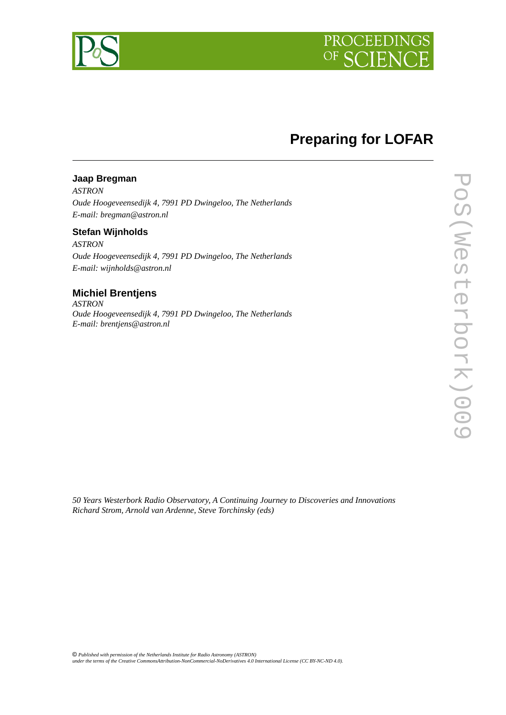

## **Preparing for LOFAR**

#### **Jaap Bregman**

*ASTRON Oude Hoogeveensedijk 4, 7991 PD Dwingeloo, The Netherlands E-mail: bregman@astron.nl*

#### **Stefan Wijnholds**

*ASTRON Oude Hoogeveensedijk 4, 7991 PD Dwingeloo, The Netherlands E-mail: wijnholds@astron.nl*

### **Michiel Brentjens**

*ASTRON Oude Hoogeveensedijk 4, 7991 PD Dwingeloo, The Netherlands E-mail: brentjens@astron.nl*

*50 Years Westerbork Radio Observatory, A Continuing Journey to Discoveries and Innovations Richard Strom, Arnold van Ardenne, Steve Torchinsky (eds)*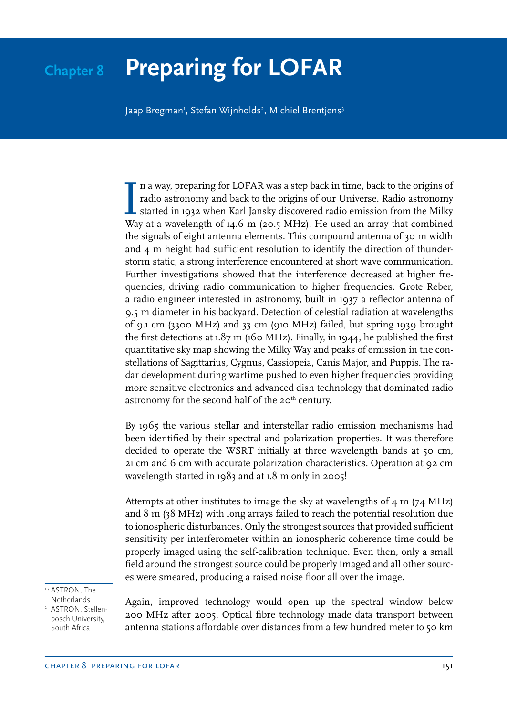# **Chapter 8 Preparing for LOFAR**

Jaap Bregman', Stefan Wijnholds<sup>2</sup>, Michiel Brentjens<sup>3</sup>

In a way, preparing for LOFAR was a step back in time, back to the origins of radio astronomy and back to the origins of our Universe. Radio astronomy started in 1932 when Karl Jansky discovered radio emission from the Mil n a way, preparing for LOFAR was a step back in time, back to the origins of radio astronomy and back to the origins of our Universe. Radio astronomy started in 1932 when Karl Jansky discovered radio emission from the Milky the signals of eight antenna elements. This compound antenna of 30 m width and 4 m height had sufficient resolution to identify the direction of thunderstorm static, a strong interference encountered at short wave communication. Further investigations showed that the interference decreased at higher frequencies, driving radio communication to higher frequencies. Grote Reber, a radio engineer interested in astronomy, built in 1937 a reflector antenna of 9.5 m diameter in his backyard. Detection of celestial radiation at wavelengths of 9.1 cm (3300 MHz) and 33 cm (910 MHz) failed, but spring 1939 brought the first detections at  $1.87$  m (160 MHz). Finally, in 1944, he published the first quantitative sky map showing the Milky Way and peaks of emission in the constellations of Sagittarius, Cygnus, Cassiopeia, Canis Major, and Puppis. The radar development during wartime pushed to even higher frequencies providing more sensitive electronics and advanced dish technology that dominated radio astronomy for the second half of the 20<sup>th</sup> century.

By 1965 the various stellar and interstellar radio emission mechanisms had been identified by their spectral and polarization properties. It was therefore decided to operate the WSRT initially at three wavelength bands at 50 cm, 21 cm and 6 cm with accurate polarization characteristics. Operation at 92 cm wavelength started in 1983 and at 1.8 m only in 2005!

Attempts at other institutes to image the sky at wavelengths of 4 m (74 MHz) and 8 m (38 MHz) with long arrays failed to reach the potential resolution due to ionospheric disturbances. Only the strongest sources that provided sufficient sensitivity per interferometer within an ionospheric coherence time could be properly imaged using the self-calibration technique. Even then, only a small field around the strongest source could be properly imaged and all other sources were smeared, producing a raised noise floor all over the image.

1,3 ASTRON, The Netherlands

2 ASTRON, Stellenbosch University, South Africa

Again, improved technology would open up the spectral window below 200 MHz after 2005. Optical fibre technology made data transport between antenna stations affordable over distances from a few hundred meter to 50 km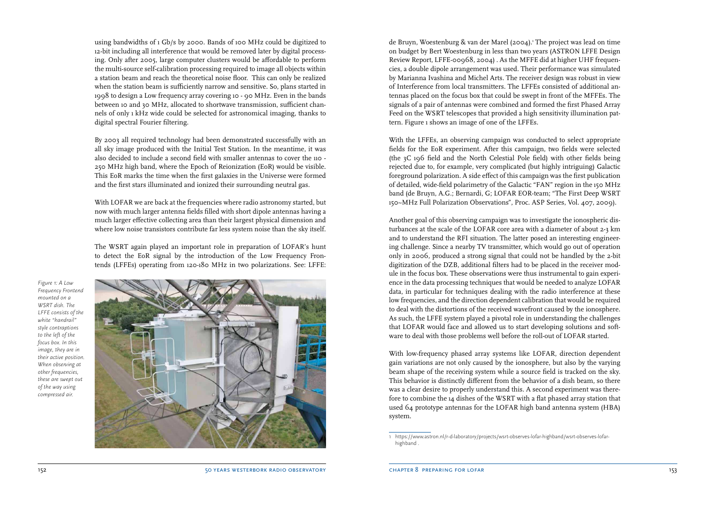using bandwidths of 1 Gb/s by 2000. Bands of 100 MHz could be digitized to 12-bit including all interference that would be removed later by digital processing. Only after 2005, large computer clusters would be affordable to perform the multi-source self-calibration processing required to image all objects within a station beam and reach the theoretical noise floor. This can only be realized when the station beam is sufficiently narrow and sensitive. So, plans started in 1998 to design a Low frequency array covering 10 - 90 MHz. Even in the bands between 10 and 30 MHz, allocated to shortwave transmission, sufficient channels of only 1 kHz wide could be selected for astronomical imaging, thanks to digital spectral Fourier filtering.

By 2003 all required technology had been demonstrated successfully with an all sky image produced with the Initial Test Station. In the meantime, it was also decided to include a second field with smaller antennas to cover the 110 - 250 MHz high band, where the Epoch of Reionization (EoR) would be visible. This EoR marks the time when the first galaxies in the Universe were formed and the first stars illuminated and ionized their surrounding neutral gas.

With LOFAR we are back at the frequencies where radio astronomy started, but now with much larger antenna fields filled with short dipole antennas having a much larger effective collecting area than their largest physical dimension and where low noise transistors contribute far less system noise than the sky itself.

The WSRT again played an important role in preparation of LOFAR's hunt to detect the EoR signal by the introduction of the Low Frequency Frontends (LFFEs) operating from 120-180 MHz in two polarizations. See: LFFE:

*Figure 1: A Low Frequency Frontend mounted on a WSRT dish. The LFFE consists of the white "handrail" style contraptions to the left of the focus box. In this image, they are in their active position. When observing at other frequencies, these are swept out of the way using compressed air.* 



de Bruyn, Woestenburg & van der Marel (2004).<sup>,</sup> The project was lead on time on budget by Bert Woestenburg in less than two years (ASTRON LFFE Design Review Report, LFFE-00968, 2004) . As the MFFE did at higher UHF frequencies, a double dipole arrangement was used. Their performance was simulated by Marianna Ivashina and Michel Arts. The receiver design was robust in view of Interference from local transmitters. The LFFEs consisted of additional antennas placed on the focus box that could be swept in front of the MFFEs. The signals of a pair of antennas were combined and formed the first Phased Array Feed on the WSRT telescopes that provided a high sensitivity illumination pattern. Figure 1 shows an image of one of the LFFEs.

With the LFFEs, an observing campaign was conducted to select appropriate fields for the EoR experiment. After this campaign, two fields were selected (the 3C 196 field and the North Celestial Pole field) with other fields being rejected due to, for example, very complicated (but highly intriguing) Galactic foreground polarization. A side effect of this campaign was the first publication of detailed, wide-field polarimetry of the Galactic "FAN" region in the 150 MHz band (de Bruyn, A.G.; Bernardi, G; LOFAR EOR-team; "The First Deep WSRT 150~MHz Full Polarization Observations", Proc. ASP Series, Vol. 407, 2009).

Another goal of this observing campaign was to investigate the ionospheric disturbances at the scale of the LOFAR core area with a diameter of about 2-3 km and to understand the RFI situation. The latter posed an interesting engineering challenge. Since a nearby TV transmitter, which would go out of operation only in 2006, produced a strong signal that could not be handled by the 2-bit digitization of the DZB, additional filters had to be placed in the receiver module in the focus box. These observations were thus instrumental to gain experience in the data processing techniques that would be needed to analyze LOFAR data, in particular for techniques dealing with the radio interference at these low frequencies, and the direction dependent calibration that would be required to deal with the distortions of the received wavefront caused by the ionosphere. As such, the LFFE system played a pivotal role in understanding the challenges that LOFAR would face and allowed us to start developing solutions and software to deal with those problems well before the roll-out of LOFAR started.

With low-frequency phased array systems like LOFAR, direction dependent gain variations are not only caused by the ionosphere, but also by the varying beam shape of the receiving system while a source field is tracked on the sky. This behavior is distinctly different from the behavior of a dish beam, so there was a clear desire to properly understand this. A second experiment was therefore to combine the 14 dishes of the WSRT with a flat phased array station that used 64 prototype antennas for the LOFAR high band antenna system (HBA) system.

<sup>1</sup> https://www.astron.nl/r-d-laboratory/projects/wsrt-observes-lofar-highband/wsrt-observes-lofarhighband .